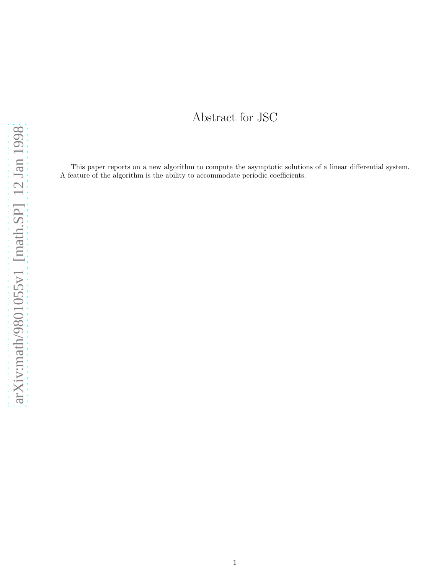# Abstract for JSC

<span id="page-0-0"></span>This paper reports on a new algorithm to compute the asymptotic solutions of a linear differential system. A feature of the algorithm is the ability to accommodate periodic coefficients.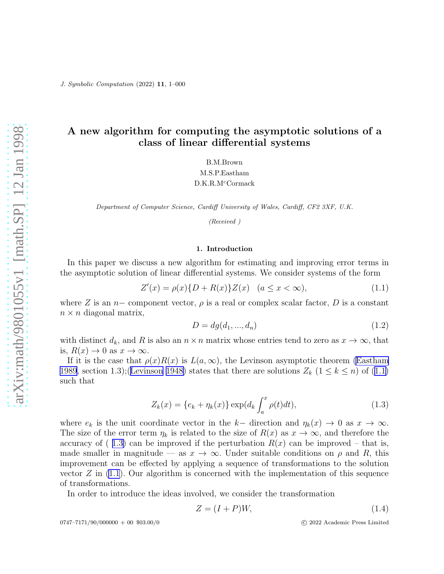# <span id="page-1-0"></span>A new algorithm for computing the asymptotic solutions of a class of linear differential systems

B.M.Brown M.S.P.Eastham D.K.R.M<sup>c</sup>Cormack

Department of Computer Science, Cardiff University of Wales, Cardiff, CF2 3XF, U.K.

(Received )

#### 1. Introduction

In this paper we discuss a new algorithm for estimating and improving error terms in the asymptotic solution of linear differential systems. We consider systems of the form

$$
Z'(x) = \rho(x)\{D + R(x)\}Z(x) \quad (a \le x < \infty),
$$
\n(1.1)

where Z is an n– component vector,  $\rho$  is a real or complex scalar factor, D is a constant  $n \times n$  diagonal matrix,

$$
D = dg(d_1, ..., d_n)
$$
\n(1.2)

with distinct  $d_k$ , and R is also an  $n \times n$  matrix whose entries tend to zero as  $x \to \infty$ , that is,  $R(x) \to 0$  as  $x \to \infty$ .

If it is the case that  $\rho(x)R(x)$  is  $L(a,\infty)$ , the Levinson asymptotic theorem [\(Eastham](#page-13-0) [1989](#page-13-0), section 1.3);([Levinson 1948\)](#page-13-0)states that there are solutions  $Z_k$   $(1 \leq k \leq n)$  of  $(1.1)$  $(1.1)$ such that

$$
Z_k(x) = \{e_k + \eta_k(x)\} \exp(d_k \int_a^x \rho(t) dt), \qquad (1.3)
$$

where  $e_k$  is the unit coordinate vector in the k– direction and  $\eta_k(x) \to 0$  as  $x \to \infty$ . The size of the error term  $\eta_k$  is related to the size of  $R(x)$  as  $x \to \infty$ , and therefore the accuracy of  $(1.3)$  can be improved if the perturbation  $R(x)$  can be improved – that is, made smaller in magnitude — as  $x \to \infty$ . Under suitable conditions on  $\rho$  and R, this improvement can be effected by applying a sequence of transformations to the solution vector  $Z$  in  $(1.1)$ . Our algorithm is concerned with the implementation of this sequence of transformations.

In order to introduce the ideas involved, we consider the transformation

$$
Z = (I + P)W,\t(1.4)
$$

0747–7171/90/000000 + 00 \$03.00/0 (c) 2022 Academic Press Limited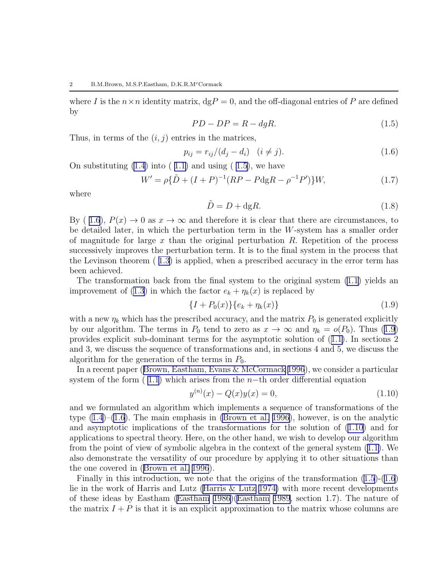<span id="page-2-0"></span>where I is the  $n \times n$  identity matrix,  $\text{dg}P = 0$ , and the off-diagonal entries of P are defined by

$$
PD - DP = R - dgR.\t\t(1.5)
$$

Thus, in terms of the  $(i, j)$  entries in the matrices,

$$
p_{ij} = r_{ij}/(d_j - d_i) \quad (i \neq j).
$$
 (1.6)

On substituting  $(1.4)$  into  $(1.1)$  and using  $(1.5)$ , we have

$$
W' = \rho \{\tilde{D} + (I + P)^{-1} (RP - P \text{dg} R - \rho^{-1} P')\} W, \tag{1.7}
$$

where

$$
\tilde{D} = D + \text{dg}R.\tag{1.8}
$$

By (1.6),  $P(x) \to 0$  as  $x \to \infty$  and therefore it is clear that there are circumstances, to be detailed later, in which the perturbation term in the W-system has a smaller order of magnitude for large x than the original perturbation  $R$ . Repetition of the process successively improves the perturbation term. It is to the final system in the process that the Levinson theorem ( [1.3\)](#page-0-0) is applied, when a prescribed accuracy in the error term has been achieved.

The transformation back from the final system to the original system [\(1.1](#page-0-0)) yields an improvement of [\(1.3](#page-0-0)) in which the factor  $e_k + \eta_k(x)$  is replaced by

$$
\{I + P_0(x)\}\{e_k + \eta_k(x)\}\tag{1.9}
$$

with a new  $\eta_k$  which has the prescribed accuracy, and the matrix  $P_0$  is generated explicitly by our algorithm. The terms in  $P_0$  tend to zero as  $x \to \infty$  and  $\eta_k = o(P_0)$ . Thus [\(1.9](#page-1-0)) provides explicit sub-dominant terms for the asymptotic solution of ([1.1\)](#page-0-0). In sections 2 and 3, we discuss the sequence of transformations and, in sections 4 and 5, we discuss the algorithm for the generation of the terms in  $P_0$ .

In a recent paper([Brown, Eastham, Evans & McCormack 1996](#page-13-0)), we consider a particular system of the form  $(1.1)$  which arises from the n−th order differential equation

$$
y^{(n)}(x) - Q(x)y(x) = 0,
$$
\n(1.10)

and we formulated an algorithm which implements a sequence of transformations of the type [\(1.4](#page-0-0))–[\(1.6](#page-1-0)). The main emphasis in [\(Brown et al. 1996](#page-13-0)), however, is on the analytic and asymptotic implications of the transformations for the solution of([1.10\)](#page-1-0) and for applications to spectral theory. Here, on the other hand, we wish to develop our algorithm from the point of view of symbolic algebra in the context of the general system([1.1\)](#page-0-0). We also demonstrate the versatility of our procedure by applying it to other situations than the one covered in([Brown et al. 1996](#page-13-0)).

Finally in this introduction, we note that the origins of the transformation  $(1.5)-(1.6)$  $(1.5)-(1.6)$  $(1.5)-(1.6)$ lie in the work of Harris and Lutz [\(Harris & Lutz 1974\)](#page-13-0) with more recent developments of these ideas by Eastham [\(Eastham 1986\)](#page-13-0)([Eastham 1989](#page-13-0), section 1.7). The nature of the matrix  $I + P$  is that it is an explicit approximation to the matrix whose columns are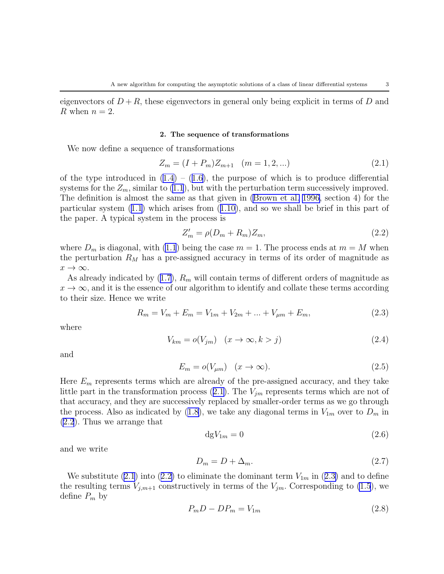<span id="page-3-0"></span>eigenvectors of  $D + R$ , these eigenvectors in general only being explicit in terms of D and R when  $n = 2$ .

#### 2. The sequence of transformations

We now define a sequence of transformations

$$
Z_m = (I + P_m)Z_{m+1} \quad (m = 1, 2, \ldots)
$$
\n<sup>(2.1)</sup>

ofthe type introduced in  $(1.4) - (1.6)$  $(1.4) - (1.6)$  $(1.4) - (1.6)$  $(1.4) - (1.6)$ , the purpose of which is to produce differential systems for the  $Z_m$ , similar to [\(1.1](#page-0-0)), but with the perturbation term successively improved. The definition is almost the same as that given in [\(Brown et al. 1996,](#page-13-0) section 4) for the particular system([1.1\)](#page-0-0) which arises from([1.10\)](#page-1-0), and so we shall be brief in this part of the paper. A typical system in the process is

$$
Z'_m = \rho(D_m + R_m)Z_m,\tag{2.2}
$$

where  $D_m$  is diagonal, with [\(1.1](#page-0-0)) being the case  $m = 1$ . The process ends at  $m = M$  when the perturbation  $R_M$  has a pre-assigned accuracy in terms of its order of magnitude as  $x \to \infty$ .

As already indicated by  $(1.7)$ ,  $R_m$  will contain terms of different orders of magnitude as  $x \to \infty$ , and it is the essence of our algorithm to identify and collate these terms according to their size. Hence we write

$$
R_m = V_m + E_m = V_{1m} + V_{2m} + \dots + V_{\mu m} + E_m,
$$
\n(2.3)

where

$$
V_{km} = o(V_{jm}) \quad (x \to \infty, k > j)
$$
\n
$$
(2.4)
$$

and

$$
E_m = o(V_{\mu m}) \quad (x \to \infty). \tag{2.5}
$$

Here  $E_m$  represents terms which are already of the pre-assigned accuracy, and they take littlepart in the transformation process  $(2.1)$  $(2.1)$ . The  $V_{jm}$  represents terms which are not of that accuracy, and they are successively replaced by smaller-order terms as we go through theprocess. Also as indicated by ([1.8\)](#page-1-0), we take any diagonal terms in  $V_{1m}$  over to  $D_m$  in [\(2.2](#page-2-0)). Thus we arrange that

$$
dgV_{1m} = 0\tag{2.6}
$$

and we write

$$
D_m = D + \Delta_m. \tag{2.7}
$$

We substitute [\(2.1](#page-2-0))into ([2.2\)](#page-2-0) to eliminate the dominant term  $V_{1m}$  in ([2.3\)](#page-2-0) and to define the resulting terms  $V_{j,m+1}$  constructively in terms of the  $V_{jm}$ . Corresponding to [\(1.5](#page-1-0)), we define  $P_m$  by

$$
P_m D - D P_m = V_{1m} \tag{2.8}
$$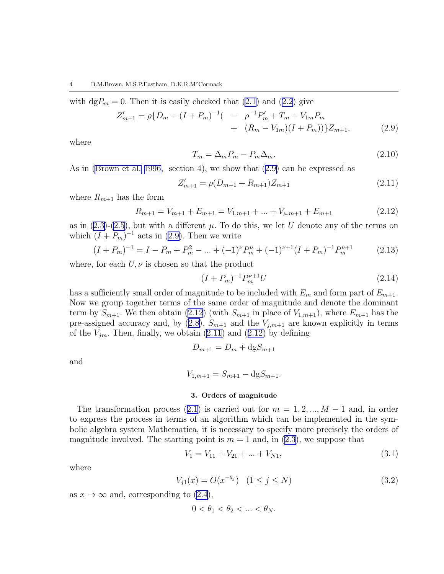<span id="page-4-0"></span>with  $\text{dg}P_m = 0$ . Then it is easily checked that [\(2.1](#page-2-0)) and [\(2.2](#page-2-0)) give

$$
Z'_{m+1} = \rho \{ D_m + (I + P_m)^{-1} \left( -\rho^{-1} P'_m + T_m + V_{1m} P_m + (R_m - V_{1m})(I + P_m) \right) \} Z_{m+1},
$$
\n(2.9)

where

$$
T_m = \Delta_m P_m - P_m \Delta_m. \tag{2.10}
$$

As in [\(Brown et al. 1996](#page-13-0), section 4), we show that([2.9\)](#page-3-0) can be expressed as

$$
Z'_{m+1} = \rho(D_{m+1} + R_{m+1})Z_{m+1}
$$
\n(2.11)

where  $R_{m+1}$  has the form

$$
R_{m+1} = V_{m+1} + E_{m+1} = V_{1,m+1} + \dots + V_{\mu,m+1} + E_{m+1}
$$
\n(2.12)

asin  $(2.3)-(2.5)$  $(2.3)-(2.5)$  $(2.3)-(2.5)$  $(2.3)-(2.5)$ , but with a different  $\mu$ . To do this, we let U denote any of the terms on which  $(I + P_m)^{-1}$  acts in [\(2.9](#page-3-0)). Then we write

$$
(I + P_m)^{-1} = I - P_m + P_m^2 - \dots + (-1)^{\nu} P_m^{\nu} + (-1)^{\nu+1} (I + P_m)^{-1} P_m^{\nu+1}
$$
 (2.13)

where, for each  $U, \nu$  is chosen so that the product

$$
(I + P_m)^{-1} P_m^{\nu+1} U \tag{2.14}
$$

has a sufficiently small order of magnitude to be included with  $E_m$  and form part of  $E_{m+1}$ . Now we group together terms of the same order of magnitude and denote the dominant term by  $S_{m+1}$ . We then obtain [\(2.12](#page-3-0)) (with  $S_{m+1}$  in place of  $V_{1,m+1}$ ), where  $E_{m+1}$  has the pre-assignedaccuracy and, by ([2.8\)](#page-2-0),  $S_{m+1}$  and the  $V_{j,m+1}$  are known explicitly in terms ofthe  $V_{im}$ . Then, finally, we obtain ([2.11\)](#page-3-0) and ([2.12\)](#page-3-0) by defining

$$
D_{m+1} = D_m + \mathrm{dg} S_{m+1}
$$

and

$$
V_{1,m+1} = S_{m+1} - \text{dg} S_{m+1}.
$$

#### 3. Orders of magnitude

Thetransformation process ([2.1\)](#page-2-0) is carried out for  $m = 1, 2, ..., M - 1$  and, in order to express the process in terms of an algorithm which can be implemented in the symbolic algebra system Mathematica, it is necessary to specify more precisely the orders of magnitudeinvolved. The starting point is  $m = 1$  and, in  $(2.3)$  $(2.3)$ , we suppose that

$$
V_1 = V_{11} + V_{21} + \dots + V_{N1},\tag{3.1}
$$

where

$$
V_{j1}(x) = O(x^{-\theta_j}) \quad (1 \le j \le N)
$$
\n(3.2)

as  $x \to \infty$  and, corresponding to [\(2.4](#page-2-0)),

$$
0 < \theta_1 < \theta_2 < \ldots < \theta_N.
$$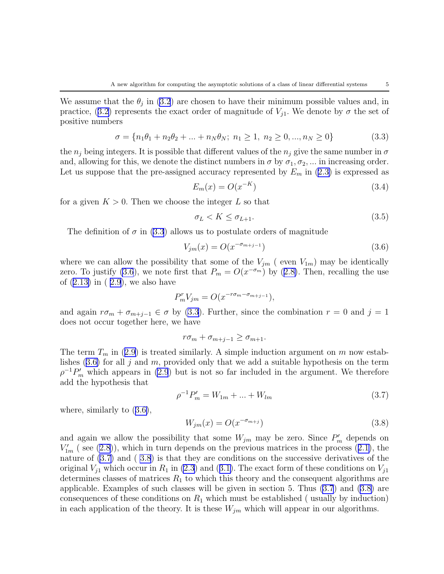<span id="page-5-0"></span>We assume that the  $\theta_j$  in [\(3.2](#page-3-0)) are chosen to have their minimum possible values and, in practice,([3.2\)](#page-3-0) represents the exact order of magnitude of  $V_{j1}$ . We denote by  $\sigma$  the set of positive numbers

$$
\sigma = \{n_1\theta_1 + n_2\theta_2 + \dots + n_N\theta_N; \ n_1 \ge 1, \ n_2 \ge 0, \dots, n_N \ge 0\}
$$
\n(3.3)

the  $n_i$  being integers. It is possible that different values of the  $n_i$  give the same number in  $\sigma$ and, allowing for this, we denote the distinct numbers in  $\sigma$  by  $\sigma_1, \sigma_2, \ldots$  in increasing order. Letus suppose that the pre-assigned accuracy represented by  $E_m$  in ([2.3\)](#page-2-0) is expressed as

$$
E_m(x) = O(x^{-K})
$$
\n
$$
(3.4)
$$

for a given  $K > 0$ . Then we choose the integer L so that

$$
\sigma_L < K \le \sigma_{L+1}.\tag{3.5}
$$

The definition of  $\sigma$  in [\(3.3](#page-4-0)) allows us to postulate orders of magnitude

$$
V_{jm}(x) = O(x^{-\sigma_{m+j-1}})
$$
\n(3.6)

where we can allow the possibility that some of the  $V_{jm}$  (even  $V_{1m}$ ) may be identically zero. To justify [\(3.6](#page-4-0)),we note first that  $P_m = O(x^{-\sigma_m})$  by ([2.8\)](#page-2-0). Then, recalling the use of([2.13\)](#page-3-0) in ( [2.9](#page-3-0)), we also have

$$
P_m^r V_{jm} = O(x^{-r\sigma_m - \sigma_{m+j-1}}),
$$

and again  $r\sigma_m + \sigma_{m+j-1} \in \sigma$  by [\(3.3](#page-4-0)). Further, since the combination  $r = 0$  and  $j = 1$ does not occur together here, we have

$$
r\sigma_m + \sigma_{m+j-1} \ge \sigma_{m+1}.
$$

Theterm  $T_m$  in ([2.9\)](#page-3-0) is treated similarly. A simple induction argument on m now estab-lishes $(3.6)$  $(3.6)$  for all j and m, provided only that we add a suitable hypothesis on the term  $\rho^{-1}P'_{m}$  which appears in [\(2.9](#page-3-0)) but is not so far included in the argument. We therefore add the hypothesis that

$$
\rho^{-1}P'_m = W_{1m} + \dots + W_{lm} \tag{3.7}
$$

where, similarly to([3.6\)](#page-4-0),

$$
W_{jm}(x) = O(x^{-\sigma_{m+j}})
$$
\n
$$
(3.8)
$$

and again we allow the possibility that some  $W_{jm}$  may be zero. Since  $P'_{m}$  depends on  $V'_{1m}$  (see [\(2.8](#page-2-0))),which in turn depends on the previous matrices in the process ([2.1\)](#page-2-0), the nature of [\(3.7](#page-4-0)) and ( [3.8](#page-4-0)) is that they are conditions on the successive derivatives of the original $V_{j1}$  which occur in  $R_1$  in [\(2.3](#page-2-0)) and ([3.1\)](#page-3-0). The exact form of these conditions on  $V_{j1}$ determines classes of matrices  $R_1$  to which this theory and the consequent algorithms are applicable. Examples of such classes will be given in section 5. Thus [\(3.7](#page-4-0)) and([3.8\)](#page-4-0) are consequences of these conditions on  $R_1$  which must be established ( usually by induction) in each application of the theory. It is these  $W_{jm}$  which will appear in our algorithms.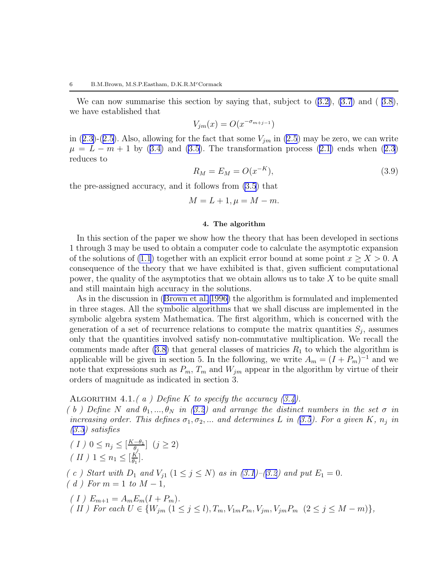<span id="page-6-0"></span>We can now summarise this section by saying that, subject to([3.2\)](#page-3-0), [\(3.7](#page-4-0)) and ( [3.8\)](#page-4-0), we have established that

$$
V_{jm}(x) = O(x^{-\sigma_{m+j-1}})
$$

in([2.3\)](#page-2-0)-([2.5\)](#page-2-0). Also, allowing for the fact that some  $V_{jm}$  in [\(2.5](#page-2-0)) may be zero, we can write  $\mu = L - m + 1$  $\mu = L - m + 1$  $\mu = L - m + 1$  by ([3.4\)](#page-4-0) and [\(3.5](#page-4-0)). The transformation process ([2.1\)](#page-2-0) ends when [\(2.3](#page-2-0)) reduces to

$$
R_M = E_M = O(x^{-K}),
$$
\n(3.9)

the pre-assigned accuracy, and it follows from [\(3.5](#page-4-0)) that

$$
M = L + 1, \mu = M - m.
$$

#### 4. The algorithm

In this section of the paper we show how the theory that has been developed in sections 1 through 3 may be used to obtain a computer code to calculate the asymptotic expansion of the solutions of [\(1.1](#page-0-0)) together with an explicit error bound at some point  $x \ge X > 0$ . consequence of the theory that we have exhibited is that, given sufficient computational power, the quality of the asymptotics that we obtain allows us to take  $X$  to be quite small and still maintain high accuracy in the solutions.

As in the discussion in([Brown et al. 1996\)](#page-13-0) the algorithm is formulated and implemented in three stages. All the symbolic algorithms that we shall discuss are implemented in the symbolic algebra system Mathematica. The first algorithm, which is concerned with the generation of a set of recurrence relations to compute the matrix quantities  $S_j$ , assumes only that the quantities involved satisfy non-commutative multiplication. We recall the comments made after  $(3.8)$  that general classes of matricies  $R_1$  to which the algorithm is applicable will be given in section 5. In the following, we write  $A_m = (I + P_m)^{-1}$  and we note that expressions such as  $P_m$ ,  $T_m$  and  $W_{jm}$  appear in the algorithm by virtue of their orders of magnitude as indicated in section 3.

ALGORITHM4.1.(a) Define K to specify the accuracy  $(3.4)$  $(3.4)$ .

(b)Define N and  $\theta_1, ..., \theta_N$  in ([3.2](#page-3-0)) and arrange the distinct numbers in the set  $\sigma$  in increasingorder. This defines  $\sigma_1, \sigma_2, ...$  and determines L in ([3.5](#page-4-0)). For a given K,  $n_j$  in ([3.3](#page-4-0)) satisfies

$$
\begin{aligned} (I) & 0 \le n_j \le \left[\frac{K-\theta_1}{\theta_j}\right] \ (j \ge 2) \\ (II) & 1 \le n_1 \le \left[\frac{K}{\theta_1}\right]. \end{aligned}
$$

( c ) Start with  $D_1$  and  $V_{j1}$   $(1 \leq j \leq N)$  as in  $(3.1)$ – $(3.2)$  $(3.2)$  $(3.2)$  and put  $E_1 = 0$ .

 $(d)$  For  $m = 1$  to  $M - 1$ ,

(  $I$  )  $E_{m+1} = A_m E_m (I + P_m)$ . ( II ) For each  $U \in \{W_{jm} \ (1 \leq j \leq l), T_m, V_{1m}P_m, V_{jm}, V_{jm}P_m \ (2 \leq j \leq M-m)\},$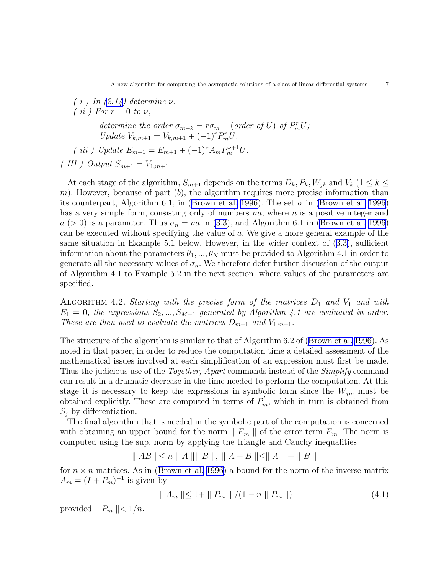<span id="page-7-0"></span> $(i)$  In  $(2.14)$  determine  $\nu$ . (*ii*) For  $r = 0$  to  $\nu$ , determine the order  $\sigma_{m+k} = r\sigma_m + (\text{order of } U) \text{ of } P_m^r U;$ Update  $V_{k,m+1} = V_{k,m+1} + (-1)^r P_m^r U$ . ( iii ) Update  $E_{m+1} = E_{m+1} + (-1)^{\nu} A_m P_m^{\nu+1} U$ . (III) Output  $S_{m+1} = V_{1,m+1}$ .

At each stage of the algorithm,  $S_{m+1}$  depends on the terms  $D_k$ ,  $P_k$ ,  $W_{ik}$  and  $V_k$  ( $1 \leq k \leq$ m). However, because of part  $(b)$ , the algorithm requires more precise information than itscounterpart, Algorithm 6.1, in ([Brown et al. 1996\)](#page-13-0). The set  $\sigma$  in [\(Brown et al. 1996\)](#page-13-0) has a very simple form, consisting only of numbers  $na$ , where  $n$  is a positive integer and  $a (> 0)$  is a parameter. Thus  $\sigma_n = na$  in [\(3.3](#page-4-0)), and Algorithm 6.1 in [\(Brown et al. 1996\)](#page-13-0) can be executed without specifying the value of a. We give a more general example of the same situation in Example 5.1 below. However, in the wider context of([3.3\)](#page-4-0), sufficient information about the parameters  $\theta_1, ..., \theta_N$  must be provided to Algorithm 4.1 in order to generate all the necessary values of  $\sigma_n$ . We therefore defer further discussion of the output of Algorithm 4.1 to Example 5.2 in the next section, where values of the parameters are specified.

ALGORITHM 4.2. Starting with the precise form of the matrices  $D_1$  and  $V_1$  and with  $E_1 = 0$ , the expressions  $S_2, ..., S_{M-1}$  generated by Algorithm 4.1 are evaluated in order. These are then used to evaluate the matrices  $D_{m+1}$  and  $V_{1,m+1}$ .

The structure of the algorithm is similar to that of Algorithm 6.2 of [\(Brown et al. 1996\)](#page-13-0). As noted in that paper, in order to reduce the computation time a detailed assessment of the mathematical issues involved at each simplification of an expression must first be made. Thus the judicious use of the *Together, Apart* commands instead of the *Simplify* command can result in a dramatic decrease in the time needed to perform the computation. At this stage it is necessary to keep the expressions in symbolic form since the  $W_{jm}$  must be obtained explicitly. These are computed in terms of  $P'_m$ , which in turn is obtained from  $S_j$  by differentiation.

The final algorithm that is needed in the symbolic part of the computation is concerned with obtaining an upper bound for the norm  $||E_m||$  of the error term  $E_m$ . The norm is computed using the sup. norm by applying the triangle and Cauchy inequalities

$$
\parallel AB \parallel \leq n \parallel A \parallel \parallel B \parallel, \parallel A + B \parallel \leq \parallel A \parallel + \parallel B \parallel
$$

for $n \times n$  matrices. As in ([Brown et al. 1996](#page-13-0)) a bound for the norm of the inverse matrix  $A_m = (I + P_m)^{-1}$  is given by

$$
\| A_m \| \le 1 + \| P_m \| / (1 - n \| P_m \|)
$$
\n(4.1)

provided  $\parallel P_m \parallel < 1/n$ .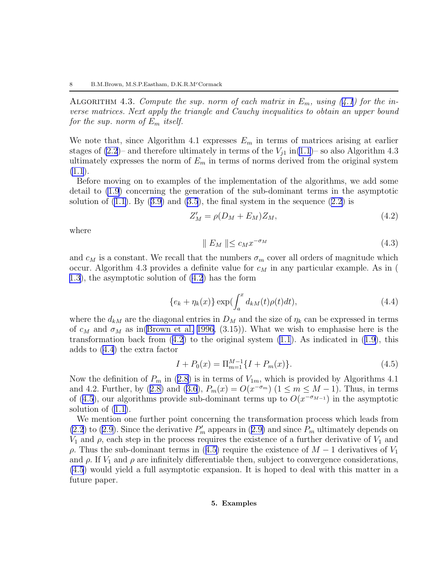<span id="page-8-0"></span>ALGORITHM4.3. Compute the sup. norm of each matrix in  $E_m$ , using ([4.1](#page-6-0)) for the inverse matrices. Next apply the triangle and Cauchy inequalities to obtain an upper bound for the sup. norm of  $E_m$  itself.

We note that, since Algorithm 4.1 expresses  $E_m$  in terms of matrices arising at earlier stages of  $(2.2)$ – and therefore ultimately in terms of the  $V_{j1}$  in $(1.1)$  $(1.1)$ – so also Algorithm 4.3 ultimately expresses the norm of  $E_m$  in terms of norms derived from the original system  $(1.1).$  $(1.1).$ 

Before moving on to examples of the implementation of the algorithms, we add some detail to [\(1.9](#page-1-0)) concerning the generation of the sub-dominant terms in the asymptotic solutionof  $(1.1)$ . By  $(3.9)$  $(3.9)$  and  $(3.5)$ , the final system in the sequence  $(2.2)$  $(2.2)$  is

$$
Z'_M = \rho(D_M + E_M)Z_M, \qquad (4.2)
$$

where

$$
\parallel E_M \parallel \leq c_M x^{-\sigma_M} \tag{4.3}
$$

and  $c_M$  is a constant. We recall that the numbers  $\sigma_m$  cover all orders of magnitude which occur. Algorithm 4.3 provides a definite value for  $c_M$  in any particular example. As in ( [1.3\)](#page-0-0), the asymptotic solution of [\(4.2](#page-7-0)) has the form

$$
\{e_k + \eta_k(x)\} \exp(\int_a^x d_{kM}(t)\rho(t)dt),\tag{4.4}
$$

where the  $d_{kM}$  are the diagonal entries in  $D_M$  and the size of  $\eta_k$  can be expressed in terms of  $c_M$  and  $\sigma_M$  as in [\(Brown et al. 1996](#page-13-0), (3.15)). What we wish to emphasise here is the transformationback from  $(4.2)$  $(4.2)$  to the original system  $(1.1)$ . As indicated in  $(1.9)$  $(1.9)$ , this adds to [\(4.4](#page-7-0)) the extra factor

$$
I + P_0(x) = \Pi_{m=1}^{M-1} \{ I + P_m(x) \}.
$$
\n(4.5)

Nowthe definition of  $P_m$  in ([2.8\)](#page-2-0) is in terms of  $V_{1m}$ , which is provided by Algorithms 4.1 and4.2. Further, by ([2.8\)](#page-2-0) and [\(3.6](#page-4-0)),  $P_m(x) = O(x^{-\sigma_m})$  ( $1 \le m \le M - 1$ ). Thus, in terms of([4.5](#page-7-0)), our algorithms provide sub-dominant terms up to  $O(x^{-\sigma_{M-1}})$  in the asymptotic solution of [\(1.1](#page-0-0)).

We mention one further point concerning the transformation process which leads from [\(2.2](#page-2-0))to ([2.9](#page-3-0)). Since the derivative  $P'_m$  appears in ([2.9\)](#page-3-0) and since  $P_m$  ultimately depends on  $V_1$  and  $\rho$ , each step in the process requires the existence of a further derivative of  $V_1$  and ρ.Thus the sub-dominant terms in ([4.5\)](#page-7-0) require the existence of  $M-1$  derivatives of  $V_1$ and  $\rho$ . If  $V_1$  and  $\rho$  are infinitely differentiable then, subject to convergence considerations, [\(4.5](#page-7-0)) would yield a full asymptotic expansion. It is hoped to deal with this matter in a future paper.

### 5. Examples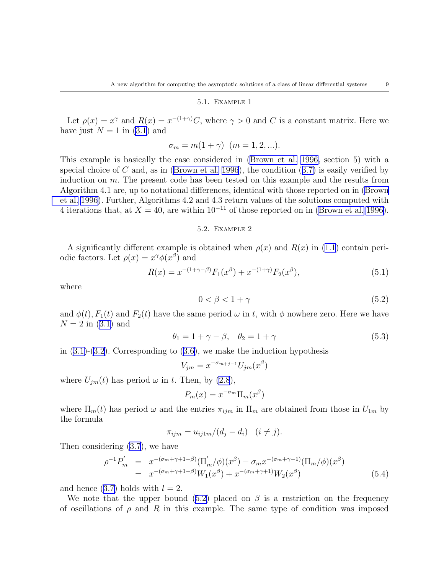#### 5.1. Example 1

Let  $\rho(x) = x^{\gamma}$  and  $R(x) = x^{-(1+\gamma)}C$ , where  $\gamma > 0$  and C is a constant matrix. Here we have just  $N = 1$  in [\(3.1](#page-3-0)) and

$$
\sigma_m = m(1 + \gamma) \ \ (m = 1, 2, \ldots).
$$

This example is basically the case considered in([Brown et al. 1996,](#page-13-0) section 5) with a special choice of C and, as in [\(Brown et al. 1996](#page-13-0)),the condition  $(3.7)$  $(3.7)$  is easily verified by induction on m. The present code has been tested on this example and the results from Algorithm 4.1 are, up to notational differences, identical with those reported on in [\(Brown](#page-13-0) [et al. 1996\)](#page-13-0). Further, Algorithms 4.2 and 4.3 return values of the solutions computed with 4 iterations that, at  $X = 40$ , are within  $10^{-11}$  of those reported on in [\(Brown et al. 1996\)](#page-13-0).

## 5.2. Example 2

A significantly different example is obtained when  $\rho(x)$  and  $R(x)$  in [\(1.1](#page-0-0)) contain periodic factors. Let  $\rho(x) = x^{\gamma} \phi(x^{\beta})$  and

$$
R(x) = x^{-(1+\gamma-\beta)} F_1(x^{\beta}) + x^{-(1+\gamma)} F_2(x^{\beta}), \qquad (5.1)
$$

where

$$
0 < \beta < 1 + \gamma \tag{5.2}
$$

and  $\phi(t)$ ,  $F_1(t)$  and  $F_2(t)$  have the same period  $\omega$  in t, with  $\phi$  nowhere zero. Here we have  $N = 2$  in  $(3.1)$  and

$$
\theta_1 = 1 + \gamma - \beta, \quad \theta_2 = 1 + \gamma \tag{5.3}
$$

in $(3.1)-(3.2)$  $(3.1)-(3.2)$  $(3.1)-(3.2)$ . Corresponding to  $(3.6)$  $(3.6)$ , we make the induction hypothesis

$$
V_{jm} = x^{-\sigma_{m+j-1}} U_{jm}(x^{\beta})
$$

where  $U_{jm}(t)$  has period  $\omega$  in t. Then, by [\(2.8](#page-2-0)),

$$
P_m(x) = x^{-\sigma_m} \Pi_m(x^{\beta})
$$

where  $\Pi_m(t)$  has period  $\omega$  and the entries  $\pi_{ijm}$  in  $\Pi_m$  are obtained from those in  $U_{1m}$  by the formula

$$
\pi_{ijm} = u_{ij1m}/(d_j - d_i) \quad (i \neq j).
$$

Then considering [\(3.7](#page-4-0)), we have

$$
\rho^{-1} P'_m = x^{-(\sigma_m + \gamma + 1 - \beta)} (\Pi'_m / \phi)(x^{\beta}) - \sigma_m x^{-(\sigma_m + \gamma + 1)} (\Pi_m / \phi)(x^{\beta})
$$
  
=  $x^{-(\sigma_m + \gamma + 1 - \beta)} W_1(x^{\beta}) + x^{-(\sigma_m + \gamma + 1)} W_2(x^{\beta})$  (5.4)

andhence  $(3.7)$  $(3.7)$  holds with  $l = 2$ .

Wenote that the upper bound ([5.2\)](#page-8-0) placed on  $\beta$  is a restriction on the frequency of oscillations of  $\rho$  and R in this example. The same type of condition was imposed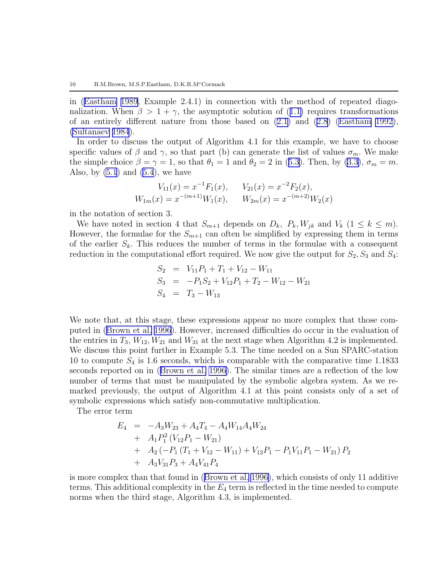<span id="page-10-0"></span>in([Eastham 1989](#page-13-0), Example 2.4.1) in connection with the method of repeated diago-nalization.When  $\beta > 1 + \gamma$ , the asymptotic solution of ([1.1\)](#page-0-0) requires transformations of an entirely different nature from those based on([2.1\)](#page-2-0) and [\(2.8](#page-2-0)) [\(Eastham 1992\)](#page-13-0), [\(Sultanaev 1984](#page-13-0)).

In order to discuss the output of Algorithm 4.1 for this example, we have to choose specific values of  $\beta$  and  $\gamma$ , so that part (b) can generate the list of values  $\sigma_m$ . We make thesimple choice  $\beta = \gamma = 1$ , so that  $\theta_1 = 1$  and  $\theta_2 = 2$  in ([5.3\)](#page-8-0). Then, by [\(3.3](#page-4-0)),  $\sigma_m = m$ . Also, by  $(5.1)$  and  $(5.4)$ , we have

$$
V_{11}(x) = x^{-1}F_1(x), \t V_{21}(x) = x^{-2}F_2(x),
$$
  
\n
$$
W_{1m}(x) = x^{-(m+1)}W_1(x), \t W_{2m}(x) = x^{-(m+2)}W_2(x)
$$

in the notation of section 3.

We have noted in section 4 that  $S_{m+1}$  depends on  $D_k$ ,  $P_k$ ,  $W_{jk}$  and  $V_k$   $(1 \leq k \leq m)$ . However, the formulae for the  $S_{m+1}$  can often be simplified by expressing them in terms of the earlier  $S_k$ . This reduces the number of terms in the formulae with a consequent reduction in the computational effort required. We now give the output for  $S_2, S_3$  and  $S_4$ :

$$
S_2 = V_{11}P_1 + T_1 + V_{12} - W_{11}
$$
  
\n
$$
S_3 = -P_1S_2 + V_{12}P_1 + T_2 - W_{12} - W_{21}
$$
  
\n
$$
S_4 = T_3 - W_{13}
$$

We note that, at this stage, these expressions appear no more complex that those computed in([Brown et al. 1996](#page-13-0)). However, increased difficulties do occur in the evaluation of the entries in  $T_3$ ,  $W_{12}$ ,  $W_{21}$  and  $W_{31}$  at the next stage when Algorithm 4.2 is implemented. We discuss this point further in Example 5.3. The time needed on a Sun SPARC-station 10 to compute  $S_4$  is 1.6 seconds, which is comparable with the comparative time 1.1833 seconds reported on in([Brown et al. 1996\)](#page-13-0). The similar times are a reflection of the low number of terms that must be manipulated by the symbolic algebra system. As we remarked previously, the output of Algorithm 4.1 at this point consists only of a set of symbolic expressions which satisfy non-commutative multiplication.

The error term

$$
E_4 = -A_3 W_{23} + A_4 T_4 - A_4 W_{14} A_4 W_{24}
$$
  
+  $A_1 P_1^2 (V_{12} P_1 - W_{21})$   
+  $A_2 (-P_1 (T_1 + V_{12} - W_{11}) + V_{12} P_1 - P_1 V_{11} P_1 - W_{21}) P_2$   
+  $A_3 V_{31} P_3 + A_4 V_{41} P_4$ 

is more complex than that found in([Brown et al. 1996\)](#page-13-0), which consists of only 11 additive terms. This additional complexity in the  $E_4$  term is reflected in the time needed to compute norms when the third stage, Algorithm 4.3, is implemented.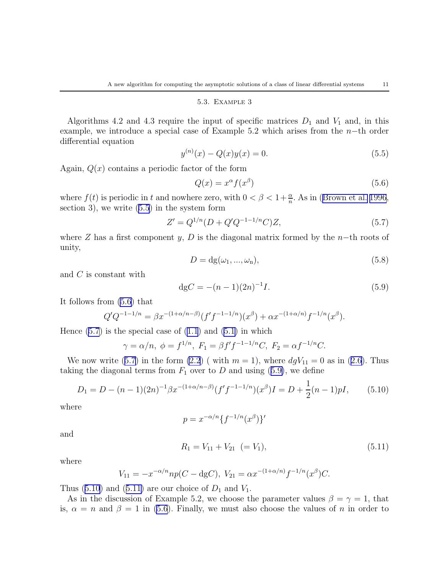#### 5.3. Example 3

Algorithms 4.2 and 4.3 require the input of specific matrices  $D_1$  and  $V_1$  and, in this example, we introduce a special case of Example 5.2 which arises from the  $n-$ th order differential equation

$$
y^{(n)}(x) - Q(x)y(x) = 0.
$$
\n(5.5)

Again,  $Q(x)$  contains a periodic factor of the form

$$
Q(x) = x^{\alpha} f(x^{\beta})
$$
\n(5.6)

where $f(t)$  is periodic in t and nowhere zero, with  $0 < \beta < 1 + \frac{\alpha}{n}$ . As in ([Brown et al. 1996](#page-13-0), section 3), we write [\(5.5](#page-10-0)) in the system form

$$
Z' = Q^{1/n} (D + Q' Q^{-1-1/n} C) Z,
$$
\n(5.7)

where Z has a first component y, D is the diagonal matrix formed by the n–th roots of unity,

$$
D = dg(\omega_1, ..., \omega_n), \tag{5.8}
$$

and C is constant with

$$
dgC = -(n-1)(2n)^{-1}I.
$$
\n(5.9)

It follows from [\(5.6](#page-10-0)) that

$$
Q'Q^{-1-1/n} = \beta x^{-(1+\alpha/n-\beta)} (f'f^{-1-1/n})(x^{\beta}) + \alpha x^{-(1+\alpha/n)} f^{-1/n}(x^{\beta}).
$$

Hence $(5.7)$  is the special case of  $(1.1)$  and  $(5.1)$  $(5.1)$  $(5.1)$  in which

$$
\gamma = \alpha/n, \ \phi = f^{1/n}, \ F_1 = \beta f' f^{-1-1/n} C, \ F_2 = \alpha f^{-1/n} C.
$$

Wenow write ([5.7\)](#page-10-0) in the form [\(2.2](#page-2-0)) ( with  $m = 1$ ), where  $dgV_{11} = 0$  as in ([2.6\)](#page-2-0). Thus takingthe diagonal terms from  $F_1$  over to D and using ([5.9\)](#page-10-0), we define

$$
D_1 = D - (n-1)(2n)^{-1} \beta x^{-(1+\alpha/n-\beta)} (f'f^{-1-1/n})(x^{\beta})I = D + \frac{1}{2}(n-1)pI, \qquad (5.10)
$$

where

$$
p = x^{-\alpha/n} \{f^{-1/n}(x^{\beta})\}'
$$

and

$$
R_1 = V_{11} + V_{21} \ \ (=V_1), \tag{5.11}
$$

where

$$
V_{11} = -x^{-\alpha/n} np(C - \text{dg}C), \ V_{21} = \alpha x^{-(1+\alpha/n)} f^{-1/n}(x^{\beta})C.
$$

Thus $(5.10)$  $(5.10)$  and  $(5.11)$  $(5.11)$  are our choice of  $D_1$  and  $V_1$ .

As in the discussion of Example 5.2, we choose the parameter values  $\beta = \gamma = 1$ , that is,  $\alpha = n$  and  $\beta = 1$  in [\(5.6](#page-10-0)). Finally, we must also choose the values of n in order to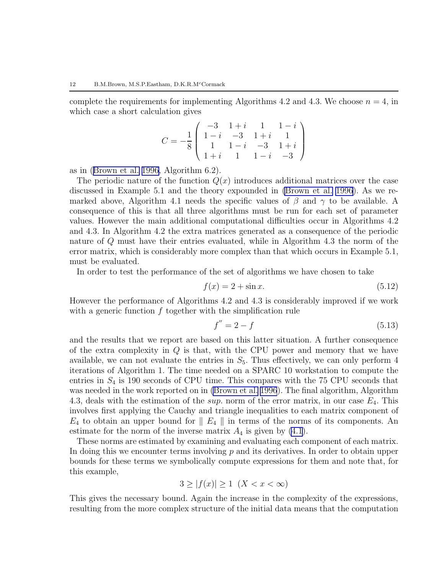complete the requirements for implementing Algorithms 4.2 and 4.3. We choose  $n = 4$ , in which case a short calculation gives

$$
C = -\frac{1}{8} \left( \begin{array}{rrrr} -3 & 1+i & 1 & 1-i \\ 1-i & -3 & 1+i & 1 \\ 1 & 1-i & -3 & 1+i \\ 1+i & 1 & 1-i & -3 \end{array} \right)
$$

as in([Brown et al. 1996](#page-13-0), Algorithm 6.2).

The periodic nature of the function  $Q(x)$  introduces additional matrices over the case discussed in Example 5.1 and the theory expounded in [\(Brown et al. 1996\)](#page-13-0). As we remarked above, Algorithm 4.1 needs the specific values of  $\beta$  and  $\gamma$  to be available. A consequence of this is that all three algorithms must be run for each set of parameter values. However the main additional computational difficulties occur in Algorithms 4.2 and 4.3. In Algorithm 4.2 the extra matrices generated as a consequence of the periodic nature of Q must have their entries evaluated, while in Algorithm 4.3 the norm of the error matrix, which is considerably more complex than that which occurs in Example 5.1, must be evaluated.

In order to test the performance of the set of algorithms we have chosen to take

$$
f(x) = 2 + \sin x.
$$
 (5.12)

However the performance of Algorithms 4.2 and 4.3 is considerably improved if we work with a generic function  $f$  together with the simplification rule

$$
f'' = 2 - f \tag{5.13}
$$

and the results that we report are based on this latter situation. A further consequence of the extra complexity in  $Q$  is that, with the CPU power and memory that we have available, we can not evaluate the entries in  $S_5$ . Thus effectively, we can only perform 4 iterations of Algorithm 1. The time needed on a SPARC 10 workstation to compute the entries in  $S_4$  is 190 seconds of CPU time. This compares with the 75 CPU seconds that was needed in the work reported on in [\(Brown et al. 1996](#page-13-0)). The final algorithm, Algorithm 4.3, deals with the estimation of the sup. norm of the error matrix, in our case  $E_4$ . This involves first applying the Cauchy and triangle inequalities to each matrix component of  $E_4$  to obtain an upper bound for  $\parallel E_4 \parallel$  in terms of the norms of its components. An estimate for the norm of the inverse matrix  $A_4$  is given by  $(4.1)$ .

These norms are estimated by examining and evaluating each component of each matrix. In doing this we encounter terms involving  $p$  and its derivatives. In order to obtain upper bounds for these terms we symbolically compute expressions for them and note that, for this example,

$$
3 \ge |f(x)| \ge 1 \ (X < x < \infty)
$$

This gives the necessary bound. Again the increase in the complexity of the expressions, resulting from the more complex structure of the initial data means that the computation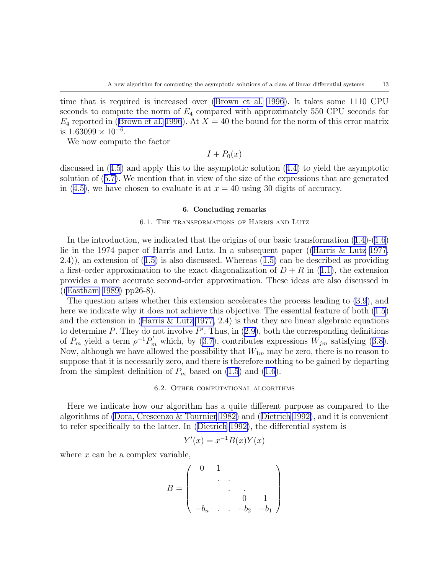<span id="page-13-0"></span>time that is required is increased over (Brown et al. 1996). It takes some 1110 CPU seconds to compute the norm of  $E_4$  compared with approximately 550 CPU seconds for  $E_4$  reported in (Brown et al. 1996). At  $X = 40$  the bound for the norm of this error matrix is  $1.63099 \times 10^{-6}$ .

We now compute the factor

 $I + P_0(x)$ 

discussed in([4.5\)](#page-7-0) and apply this to the asymptotic solution([4.4\)](#page-7-0) to yield the asymptotic solution of([5.7\)](#page-10-0). We mention that in view of the size of the expressions that are generated in [\(4.5](#page-7-0)), we have chosen to evaluate it at  $x = 40$  using 30 digits of accuracy.

#### 6. Concluding remarks

#### 6.1. The transformations of Harris and Lutz

Inthe introduction, we indicated that the origins of our basic transformation  $(1.4)-(1.6)$  $(1.4)-(1.6)$  $(1.4)-(1.6)$  $(1.4)-(1.6)$ lie in the 1974 paper of Harris and Lutz. In a subsequent paper ((Harris & Lutz 1977, 2.4)), an extension of([1.5\)](#page-1-0) is also discussed. Whereas([1.5\)](#page-1-0) can be described as providing afirst-order approximation to the exact diagonalization of  $D + R$  in ([1.1\)](#page-0-0), the extension provides a more accurate second-order approximation. These ideas are also discussed in ((Eastham 1989) pp26-8).

The question arises whether this extension accelerates the process leading to [\(3.9](#page-5-0)), and here we indicate why it does not achieve this objective. The essential feature of both([1.5\)](#page-1-0) and the extension in (Harris  $\&$  Lutz 1977, 2.4) is that they are linear algebraic equations to determine  $P$ . They do not involve  $P'$ . Thus, in  $(2.9)$ , both the corresponding definitions of $P_m$  yield a term  $\rho^{-1}P'_m$  which, by [\(3.7](#page-4-0)), contributes expressions  $W_{jm}$  satisfying ([3.8\)](#page-4-0). Now, although we have allowed the possibility that  $W_{1m}$  may be zero, there is no reason to suppose that it is necessarily zero, and there is therefore nothing to be gained by departing from the simplest definition of  $P_m$  based on [\(1.5](#page-1-0)) and [\(1.6](#page-1-0)).

#### 6.2. Other computational algorithms

Here we indicate how our algorithm has a quite different purpose as compared to the algorithms of (Dora, Crescenzo & Tournier 1982) and (Dietrich 1992), and it is convenient to refer specifically to the latter. In (Dietrich 1992), the differential system is

$$
Y'(x) = x^{-1}B(x)Y(x)
$$

where  $x$  can be a complex variable,

$$
B = \left(\begin{array}{ccccc} 0 & 1 & & & \\ & \ddots & & & \\ & & 0 & 1 & \\ -b_n & \ldots & -b_2 & -b_1 \end{array}\right)
$$